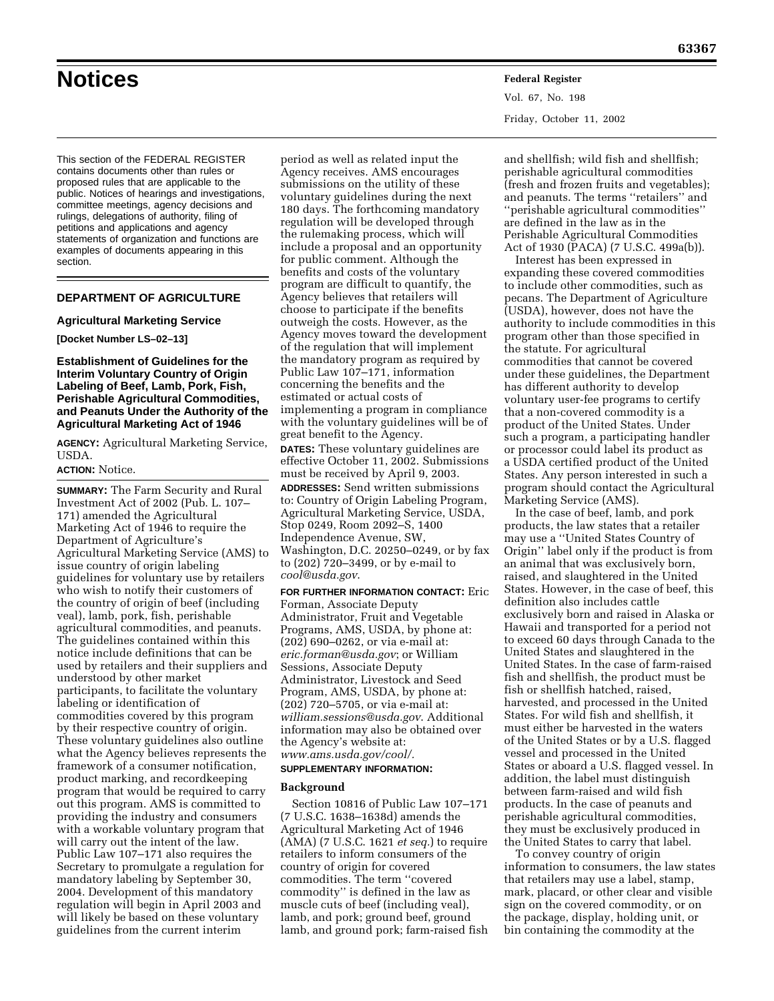# **Notices Federal Register**

Vol. 67, No. 198 Friday, October 11, 2002

This section of the FEDERAL REGISTER contains documents other than rules or proposed rules that are applicable to the public. Notices of hearings and investigations, committee meetings, agency decisions and rulings, delegations of authority, filing of petitions and applications and agency statements of organization and functions are examples of documents appearing in this section.

# **DEPARTMENT OF AGRICULTURE**

# **Agricultural Marketing Service**

## **[Docket Number LS–02–13]**

# **Establishment of Guidelines for the Interim Voluntary Country of Origin Labeling of Beef, Lamb, Pork, Fish, Perishable Agricultural Commodities, and Peanuts Under the Authority of the Agricultural Marketing Act of 1946**

**AGENCY:** Agricultural Marketing Service, USDA.

# **ACTION:** Notice.

**SUMMARY:** The Farm Security and Rural Investment Act of 2002 (Pub. L. 107– 171) amended the Agricultural Marketing Act of 1946 to require the Department of Agriculture's Agricultural Marketing Service (AMS) to issue country of origin labeling guidelines for voluntary use by retailers who wish to notify their customers of the country of origin of beef (including veal), lamb, pork, fish, perishable agricultural commodities, and peanuts. The guidelines contained within this notice include definitions that can be used by retailers and their suppliers and understood by other market participants, to facilitate the voluntary labeling or identification of commodities covered by this program by their respective country of origin. These voluntary guidelines also outline what the Agency believes represents the framework of a consumer notification, product marking, and recordkeeping program that would be required to carry out this program. AMS is committed to providing the industry and consumers with a workable voluntary program that will carry out the intent of the law. Public Law 107–171 also requires the Secretary to promulgate a regulation for mandatory labeling by September 30, 2004. Development of this mandatory regulation will begin in April 2003 and will likely be based on these voluntary guidelines from the current interim

period as well as related input the Agency receives. AMS encourages submissions on the utility of these voluntary guidelines during the next 180 days. The forthcoming mandatory regulation will be developed through the rulemaking process, which will include a proposal and an opportunity for public comment. Although the benefits and costs of the voluntary program are difficult to quantify, the Agency believes that retailers will choose to participate if the benefits outweigh the costs. However, as the Agency moves toward the development of the regulation that will implement the mandatory program as required by Public Law 107–171, information concerning the benefits and the estimated or actual costs of implementing a program in compliance with the voluntary guidelines will be of great benefit to the Agency.

**DATES:** These voluntary guidelines are effective October 11, 2002. Submissions must be received by April 9, 2003.

**ADDRESSES:** Send written submissions to: Country of Origin Labeling Program, Agricultural Marketing Service, USDA, Stop 0249, Room 2092–S, 1400 Independence Avenue, SW,

Washington, D.C. 20250–0249, or by fax to (202) 720–3499, or by e-mail to *cool@usda.gov*.

**FOR FURTHER INFORMATION CONTACT:** Eric Forman, Associate Deputy Administrator, Fruit and Vegetable Programs, AMS, USDA, by phone at: (202) 690–0262, or via e-mail at: *eric.forman@usda.gov*; or William Sessions, Associate Deputy Administrator, Livestock and Seed Program, AMS, USDA, by phone at: (202) 720–5705, or via e-mail at: *william.sessions@usda.gov*. Additional information may also be obtained over the Agency's website at: *www.ams.usda.gov/cool/.*

#### **SUPPLEMENTARY INFORMATION:**

## **Background**

Section 10816 of Public Law 107–171 (7 U.S.C. 1638–1638d) amends the Agricultural Marketing Act of 1946 (AMA) (7 U.S.C. 1621 *et seq.*) to require retailers to inform consumers of the country of origin for covered commodities. The term ''covered commodity'' is defined in the law as muscle cuts of beef (including veal), lamb, and pork; ground beef, ground lamb, and ground pork; farm-raised fish

and shellfish; wild fish and shellfish; perishable agricultural commodities (fresh and frozen fruits and vegetables); and peanuts. The terms ''retailers'' and ''perishable agricultural commodities'' are defined in the law as in the Perishable Agricultural Commodities Act of 1930 (PACA) (7 U.S.C. 499a(b)).

Interest has been expressed in expanding these covered commodities to include other commodities, such as pecans. The Department of Agriculture (USDA), however, does not have the authority to include commodities in this program other than those specified in the statute. For agricultural commodities that cannot be covered under these guidelines, the Department has different authority to develop voluntary user-fee programs to certify that a non-covered commodity is a product of the United States. Under such a program, a participating handler or processor could label its product as a USDA certified product of the United States. Any person interested in such a program should contact the Agricultural Marketing Service (AMS).

In the case of beef, lamb, and pork products, the law states that a retailer may use a ''United States Country of Origin'' label only if the product is from an animal that was exclusively born, raised, and slaughtered in the United States. However, in the case of beef, this definition also includes cattle exclusively born and raised in Alaska or Hawaii and transported for a period not to exceed 60 days through Canada to the United States and slaughtered in the United States. In the case of farm-raised fish and shellfish, the product must be fish or shellfish hatched, raised, harvested, and processed in the United States. For wild fish and shellfish, it must either be harvested in the waters of the United States or by a U.S. flagged vessel and processed in the United States or aboard a U.S. flagged vessel. In addition, the label must distinguish between farm-raised and wild fish products. In the case of peanuts and perishable agricultural commodities, they must be exclusively produced in the United States to carry that label.

To convey country of origin information to consumers, the law states that retailers may use a label, stamp, mark, placard, or other clear and visible sign on the covered commodity, or on the package, display, holding unit, or bin containing the commodity at the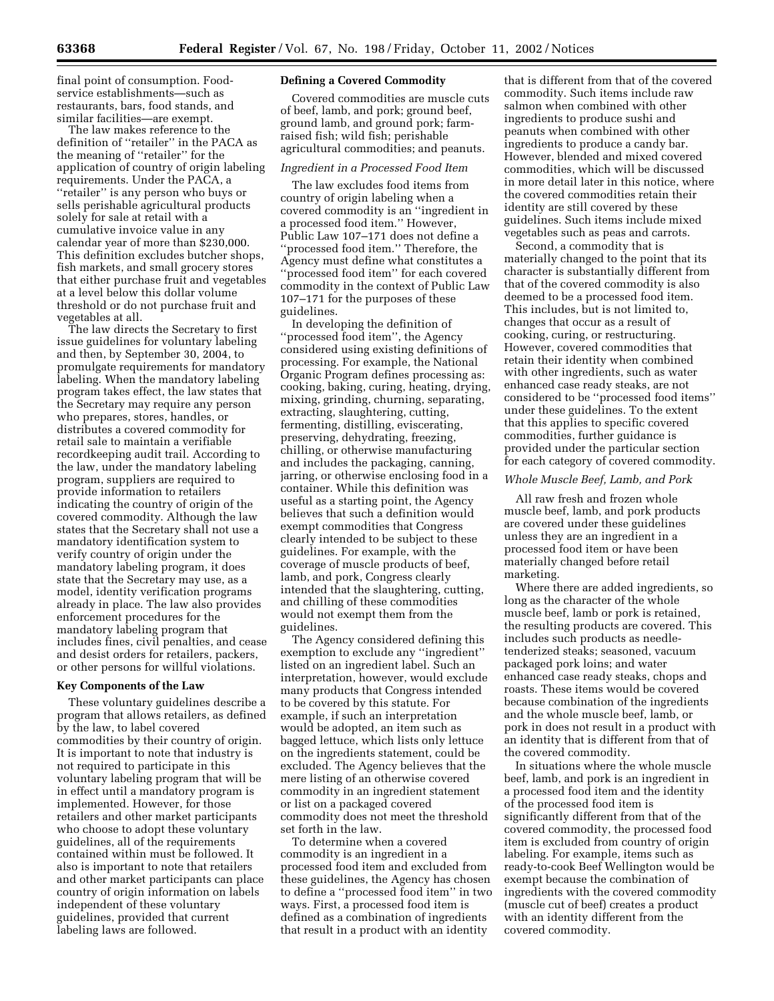final point of consumption. Foodservice establishments—such as restaurants, bars, food stands, and similar facilities—are exempt.

The law makes reference to the definition of ''retailer'' in the PACA as the meaning of ''retailer'' for the application of country of origin labeling requirements. Under the PACA, a ''retailer'' is any person who buys or sells perishable agricultural products solely for sale at retail with a cumulative invoice value in any calendar year of more than \$230,000. This definition excludes butcher shops, fish markets, and small grocery stores that either purchase fruit and vegetables at a level below this dollar volume threshold or do not purchase fruit and vegetables at all.

The law directs the Secretary to first issue guidelines for voluntary labeling and then, by September 30, 2004, to promulgate requirements for mandatory labeling. When the mandatory labeling program takes effect, the law states that the Secretary may require any person who prepares, stores, handles, or distributes a covered commodity for retail sale to maintain a verifiable recordkeeping audit trail. According to the law, under the mandatory labeling program, suppliers are required to provide information to retailers indicating the country of origin of the covered commodity. Although the law states that the Secretary shall not use a mandatory identification system to verify country of origin under the mandatory labeling program, it does state that the Secretary may use, as a model, identity verification programs already in place. The law also provides enforcement procedures for the mandatory labeling program that includes fines, civil penalties, and cease and desist orders for retailers, packers, or other persons for willful violations.

## **Key Components of the Law**

These voluntary guidelines describe a program that allows retailers, as defined by the law, to label covered commodities by their country of origin. It is important to note that industry is not required to participate in this voluntary labeling program that will be in effect until a mandatory program is implemented. However, for those retailers and other market participants who choose to adopt these voluntary guidelines, all of the requirements contained within must be followed. It also is important to note that retailers and other market participants can place country of origin information on labels independent of these voluntary guidelines, provided that current labeling laws are followed.

# **Defining a Covered Commodity**

Covered commodities are muscle cuts of beef, lamb, and pork; ground beef, ground lamb, and ground pork; farmraised fish; wild fish; perishable agricultural commodities; and peanuts.

#### *Ingredient in a Processed Food Item*

The law excludes food items from country of origin labeling when a covered commodity is an ''ingredient in a processed food item.'' However, Public Law 107–171 does not define a ''processed food item.'' Therefore, the Agency must define what constitutes a ''processed food item'' for each covered commodity in the context of Public Law 107–171 for the purposes of these guidelines.

In developing the definition of ''processed food item'', the Agency considered using existing definitions of processing. For example, the National Organic Program defines processing as: cooking, baking, curing, heating, drying, mixing, grinding, churning, separating, extracting, slaughtering, cutting, fermenting, distilling, eviscerating, preserving, dehydrating, freezing, chilling, or otherwise manufacturing and includes the packaging, canning, jarring, or otherwise enclosing food in a container. While this definition was useful as a starting point, the Agency believes that such a definition would exempt commodities that Congress clearly intended to be subject to these guidelines. For example, with the coverage of muscle products of beef, lamb, and pork, Congress clearly intended that the slaughtering, cutting, and chilling of these commodities would not exempt them from the guidelines.

The Agency considered defining this exemption to exclude any ''ingredient'' listed on an ingredient label. Such an interpretation, however, would exclude many products that Congress intended to be covered by this statute. For example, if such an interpretation would be adopted, an item such as bagged lettuce, which lists only lettuce on the ingredients statement, could be excluded. The Agency believes that the mere listing of an otherwise covered commodity in an ingredient statement or list on a packaged covered commodity does not meet the threshold set forth in the law.

To determine when a covered commodity is an ingredient in a processed food item and excluded from these guidelines, the Agency has chosen to define a ''processed food item'' in two ways. First, a processed food item is defined as a combination of ingredients that result in a product with an identity

that is different from that of the covered commodity. Such items include raw salmon when combined with other ingredients to produce sushi and peanuts when combined with other ingredients to produce a candy bar. However, blended and mixed covered commodities, which will be discussed in more detail later in this notice, where the covered commodities retain their identity are still covered by these guidelines. Such items include mixed vegetables such as peas and carrots.

Second, a commodity that is materially changed to the point that its character is substantially different from that of the covered commodity is also deemed to be a processed food item. This includes, but is not limited to, changes that occur as a result of cooking, curing, or restructuring. However, covered commodities that retain their identity when combined with other ingredients, such as water enhanced case ready steaks, are not considered to be ''processed food items'' under these guidelines. To the extent that this applies to specific covered commodities, further guidance is provided under the particular section for each category of covered commodity.

## *Whole Muscle Beef, Lamb, and Pork*

All raw fresh and frozen whole muscle beef, lamb, and pork products are covered under these guidelines unless they are an ingredient in a processed food item or have been materially changed before retail marketing.

Where there are added ingredients, so long as the character of the whole muscle beef, lamb or pork is retained, the resulting products are covered. This includes such products as needletenderized steaks; seasoned, vacuum packaged pork loins; and water enhanced case ready steaks, chops and roasts. These items would be covered because combination of the ingredients and the whole muscle beef, lamb, or pork in does not result in a product with an identity that is different from that of the covered commodity.

In situations where the whole muscle beef, lamb, and pork is an ingredient in a processed food item and the identity of the processed food item is significantly different from that of the covered commodity, the processed food item is excluded from country of origin labeling. For example, items such as ready-to-cook Beef Wellington would be exempt because the combination of ingredients with the covered commodity (muscle cut of beef) creates a product with an identity different from the covered commodity.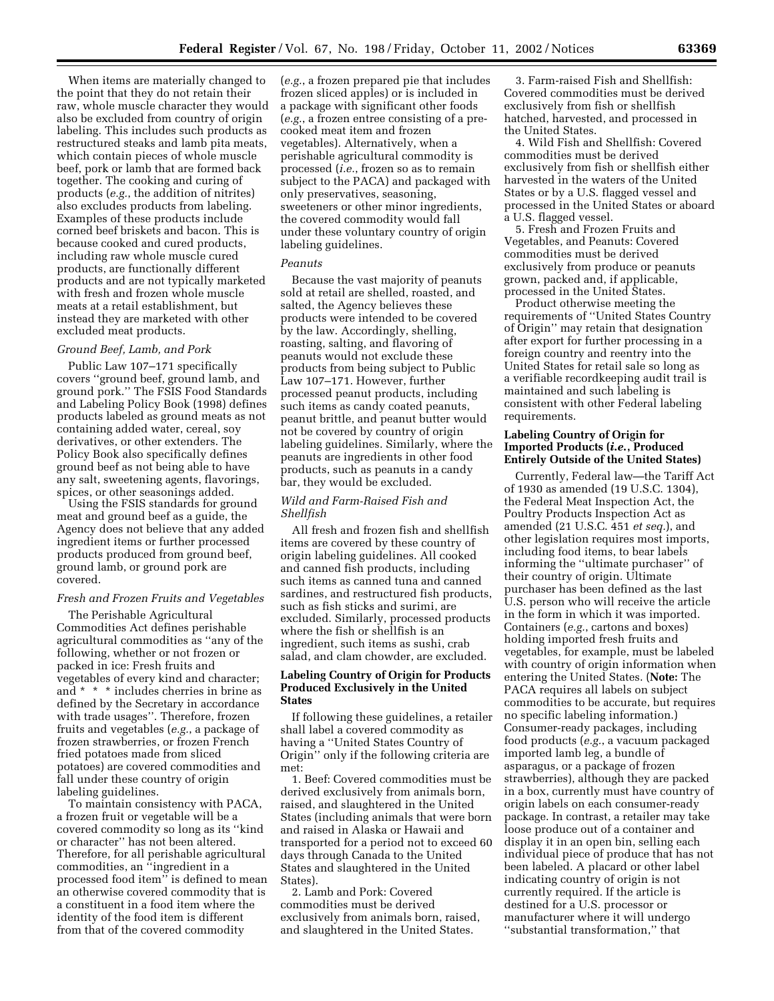When items are materially changed to the point that they do not retain their raw, whole muscle character they would also be excluded from country of origin labeling. This includes such products as restructured steaks and lamb pita meats, which contain pieces of whole muscle beef, pork or lamb that are formed back together. The cooking and curing of products (*e.g.*, the addition of nitrites) also excludes products from labeling. Examples of these products include corned beef briskets and bacon. This is because cooked and cured products, including raw whole muscle cured products, are functionally different products and are not typically marketed with fresh and frozen whole muscle meats at a retail establishment, but instead they are marketed with other excluded meat products.

# *Ground Beef, Lamb, and Pork*

Public Law 107–171 specifically covers ''ground beef, ground lamb, and ground pork.'' The FSIS Food Standards and Labeling Policy Book (1998) defines products labeled as ground meats as not containing added water, cereal, soy derivatives, or other extenders. The Policy Book also specifically defines ground beef as not being able to have any salt, sweetening agents, flavorings, spices, or other seasonings added.

Using the FSIS standards for ground meat and ground beef as a guide, the Agency does not believe that any added ingredient items or further processed products produced from ground beef, ground lamb, or ground pork are covered.

## *Fresh and Frozen Fruits and Vegetables*

The Perishable Agricultural Commodities Act defines perishable agricultural commodities as ''any of the following, whether or not frozen or packed in ice: Fresh fruits and vegetables of every kind and character; and \* \* \* includes cherries in brine as defined by the Secretary in accordance with trade usages''. Therefore, frozen fruits and vegetables (*e.g.*, a package of frozen strawberries, or frozen French fried potatoes made from sliced potatoes) are covered commodities and fall under these country of origin labeling guidelines.

To maintain consistency with PACA, a frozen fruit or vegetable will be a covered commodity so long as its ''kind or character'' has not been altered. Therefore, for all perishable agricultural commodities, an ''ingredient in a processed food item'' is defined to mean an otherwise covered commodity that is a constituent in a food item where the identity of the food item is different from that of the covered commodity

(*e.g.*, a frozen prepared pie that includes frozen sliced apples) or is included in a package with significant other foods (*e.g.*, a frozen entree consisting of a precooked meat item and frozen vegetables). Alternatively, when a perishable agricultural commodity is processed (*i.e.*, frozen so as to remain subject to the PACA) and packaged with only preservatives, seasoning, sweeteners or other minor ingredients, the covered commodity would fall under these voluntary country of origin labeling guidelines.

# *Peanuts*

Because the vast majority of peanuts sold at retail are shelled, roasted, and salted, the Agency believes these products were intended to be covered by the law. Accordingly, shelling, roasting, salting, and flavoring of peanuts would not exclude these products from being subject to Public Law 107–171. However, further processed peanut products, including such items as candy coated peanuts, peanut brittle, and peanut butter would not be covered by country of origin labeling guidelines. Similarly, where the peanuts are ingredients in other food products, such as peanuts in a candy bar, they would be excluded.

# *Wild and Farm-Raised Fish and Shellfish*

All fresh and frozen fish and shellfish items are covered by these country of origin labeling guidelines. All cooked and canned fish products, including such items as canned tuna and canned sardines, and restructured fish products, such as fish sticks and surimi, are excluded. Similarly, processed products where the fish or shellfish is an ingredient, such items as sushi, crab salad, and clam chowder, are excluded.

# **Labeling Country of Origin for Products Produced Exclusively in the United States**

If following these guidelines, a retailer shall label a covered commodity as having a ''United States Country of Origin'' only if the following criteria are met:

1. Beef: Covered commodities must be derived exclusively from animals born, raised, and slaughtered in the United States (including animals that were born and raised in Alaska or Hawaii and transported for a period not to exceed 60 days through Canada to the United States and slaughtered in the United States).

2. Lamb and Pork: Covered commodities must be derived exclusively from animals born, raised, and slaughtered in the United States.

3. Farm-raised Fish and Shellfish: Covered commodities must be derived exclusively from fish or shellfish hatched, harvested, and processed in the United States.

4. Wild Fish and Shellfish: Covered commodities must be derived exclusively from fish or shellfish either harvested in the waters of the United States or by a U.S. flagged vessel and processed in the United States or aboard a U.S. flagged vessel.

5. Fresh and Frozen Fruits and Vegetables, and Peanuts: Covered commodities must be derived exclusively from produce or peanuts grown, packed and, if applicable, processed in the United States.

Product otherwise meeting the requirements of ''United States Country of Origin'' may retain that designation after export for further processing in a foreign country and reentry into the United States for retail sale so long as a verifiable recordkeeping audit trail is maintained and such labeling is consistent with other Federal labeling requirements.

# **Labeling Country of Origin for Imported Products (***i.e.***, Produced Entirely Outside of the United States)**

Currently, Federal law—the Tariff Act of 1930 as amended (19 U.S.C. 1304), the Federal Meat Inspection Act, the Poultry Products Inspection Act as amended (21 U.S.C. 451 *et seq.*), and other legislation requires most imports, including food items, to bear labels informing the ''ultimate purchaser'' of their country of origin. Ultimate purchaser has been defined as the last U.S. person who will receive the article in the form in which it was imported. Containers (*e.g.*, cartons and boxes) holding imported fresh fruits and vegetables, for example, must be labeled with country of origin information when entering the United States. (**Note:** The PACA requires all labels on subject commodities to be accurate, but requires no specific labeling information.) Consumer-ready packages, including food products (*e.g.*, a vacuum packaged imported lamb leg, a bundle of asparagus, or a package of frozen strawberries), although they are packed in a box, currently must have country of origin labels on each consumer-ready package. In contrast, a retailer may take loose produce out of a container and display it in an open bin, selling each individual piece of produce that has not been labeled. A placard or other label indicating country of origin is not currently required. If the article is destined for a U.S. processor or manufacturer where it will undergo ''substantial transformation,'' that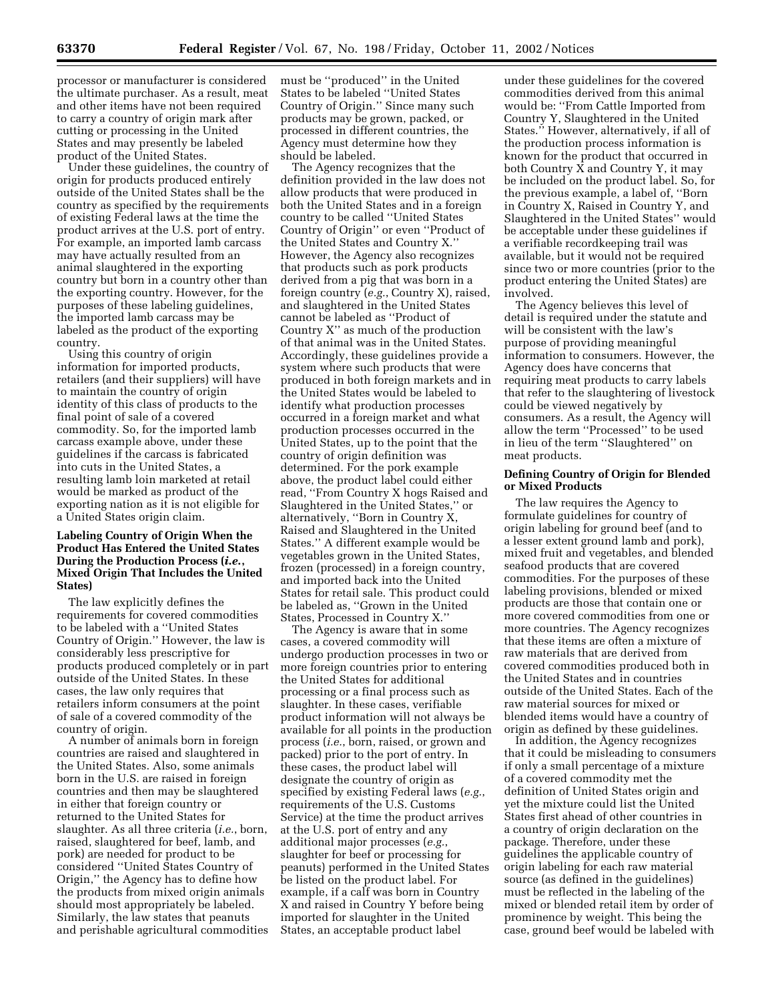processor or manufacturer is considered the ultimate purchaser. As a result, meat and other items have not been required to carry a country of origin mark after cutting or processing in the United States and may presently be labeled product of the United States.

Under these guidelines, the country of origin for products produced entirely outside of the United States shall be the country as specified by the requirements of existing Federal laws at the time the product arrives at the U.S. port of entry. For example, an imported lamb carcass may have actually resulted from an animal slaughtered in the exporting country but born in a country other than the exporting country. However, for the purposes of these labeling guidelines, the imported lamb carcass may be labeled as the product of the exporting country.

Using this country of origin information for imported products, retailers (and their suppliers) will have to maintain the country of origin identity of this class of products to the final point of sale of a covered commodity. So, for the imported lamb carcass example above, under these guidelines if the carcass is fabricated into cuts in the United States, a resulting lamb loin marketed at retail would be marked as product of the exporting nation as it is not eligible for a United States origin claim.

# **Labeling Country of Origin When the Product Has Entered the United States During the Production Process (***i.e.***, Mixed Origin That Includes the United States)**

The law explicitly defines the requirements for covered commodities to be labeled with a ''United States Country of Origin.'' However, the law is considerably less prescriptive for products produced completely or in part outside of the United States. In these cases, the law only requires that retailers inform consumers at the point of sale of a covered commodity of the country of origin.

A number of animals born in foreign countries are raised and slaughtered in the United States. Also, some animals born in the U.S. are raised in foreign countries and then may be slaughtered in either that foreign country or returned to the United States for slaughter. As all three criteria (*i.e.*, born, raised, slaughtered for beef, lamb, and pork) are needed for product to be considered ''United States Country of Origin,'' the Agency has to define how the products from mixed origin animals should most appropriately be labeled. Similarly, the law states that peanuts and perishable agricultural commodities must be ''produced'' in the United States to be labeled ''United States Country of Origin.'' Since many such products may be grown, packed, or processed in different countries, the Agency must determine how they should be labeled.

The Agency recognizes that the definition provided in the law does not allow products that were produced in both the United States and in a foreign country to be called ''United States Country of Origin'' or even ''Product of the United States and Country X.'' However, the Agency also recognizes that products such as pork products derived from a pig that was born in a foreign country (*e.g.*, Country X), raised, and slaughtered in the United States cannot be labeled as ''Product of Country X'' as much of the production of that animal was in the United States. Accordingly, these guidelines provide a system where such products that were produced in both foreign markets and in the United States would be labeled to identify what production processes occurred in a foreign market and what production processes occurred in the United States, up to the point that the country of origin definition was determined. For the pork example above, the product label could either read, ''From Country X hogs Raised and Slaughtered in the United States,'' or alternatively, ''Born in Country X, Raised and Slaughtered in the United States.'' A different example would be vegetables grown in the United States, frozen (processed) in a foreign country, and imported back into the United States for retail sale. This product could be labeled as, ''Grown in the United States, Processed in Country X.''

The Agency is aware that in some cases, a covered commodity will undergo production processes in two or more foreign countries prior to entering the United States for additional processing or a final process such as slaughter. In these cases, verifiable product information will not always be available for all points in the production process (*i.e.*, born, raised, or grown and packed) prior to the port of entry. In these cases, the product label will designate the country of origin as specified by existing Federal laws (*e.g.*, requirements of the U.S. Customs Service) at the time the product arrives at the U.S. port of entry and any additional major processes (*e.g.*, slaughter for beef or processing for peanuts) performed in the United States be listed on the product label. For example, if a calf was born in Country X and raised in Country Y before being imported for slaughter in the United States, an acceptable product label

under these guidelines for the covered commodities derived from this animal would be: ''From Cattle Imported from Country Y, Slaughtered in the United States.'' However, alternatively, if all of the production process information is known for the product that occurred in both Country X and Country Y, it may be included on the product label. So, for the previous example, a label of, ''Born in Country X, Raised in Country Y, and Slaughtered in the United States'' would be acceptable under these guidelines if a verifiable recordkeeping trail was available, but it would not be required since two or more countries (prior to the product entering the United States) are involved.

The Agency believes this level of detail is required under the statute and will be consistent with the law's purpose of providing meaningful information to consumers. However, the Agency does have concerns that requiring meat products to carry labels that refer to the slaughtering of livestock could be viewed negatively by consumers. As a result, the Agency will allow the term ''Processed'' to be used in lieu of the term ''Slaughtered'' on meat products.

# **Defining Country of Origin for Blended or Mixed Products**

The law requires the Agency to formulate guidelines for country of origin labeling for ground beef (and to a lesser extent ground lamb and pork), mixed fruit and vegetables, and blended seafood products that are covered commodities. For the purposes of these labeling provisions, blended or mixed products are those that contain one or more covered commodities from one or more countries. The Agency recognizes that these items are often a mixture of raw materials that are derived from covered commodities produced both in the United States and in countries outside of the United States. Each of the raw material sources for mixed or blended items would have a country of origin as defined by these guidelines.

In addition, the Agency recognizes that it could be misleading to consumers if only a small percentage of a mixture of a covered commodity met the definition of United States origin and yet the mixture could list the United States first ahead of other countries in a country of origin declaration on the package. Therefore, under these guidelines the applicable country of origin labeling for each raw material source (as defined in the guidelines) must be reflected in the labeling of the mixed or blended retail item by order of prominence by weight. This being the case, ground beef would be labeled with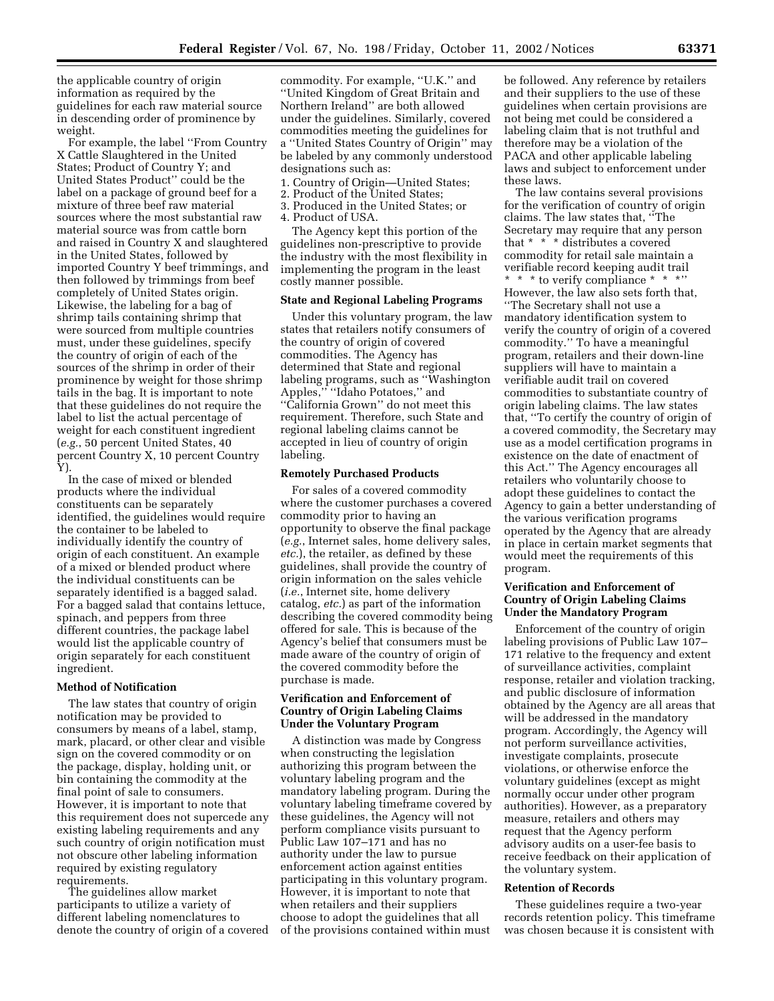the applicable country of origin information as required by the guidelines for each raw material source in descending order of prominence by weight.

For example, the label ''From Country X Cattle Slaughtered in the United States; Product of Country Y; and United States Product'' could be the label on a package of ground beef for a mixture of three beef raw material sources where the most substantial raw material source was from cattle born and raised in Country X and slaughtered in the United States, followed by imported Country Y beef trimmings, and then followed by trimmings from beef completely of United States origin. Likewise, the labeling for a bag of shrimp tails containing shrimp that were sourced from multiple countries must, under these guidelines, specify the country of origin of each of the sources of the shrimp in order of their prominence by weight for those shrimp tails in the bag. It is important to note that these guidelines do not require the label to list the actual percentage of weight for each constituent ingredient (*e.g.*, 50 percent United States, 40 percent Country X, 10 percent Country Y).

In the case of mixed or blended products where the individual constituents can be separately identified, the guidelines would require the container to be labeled to individually identify the country of origin of each constituent. An example of a mixed or blended product where the individual constituents can be separately identified is a bagged salad. For a bagged salad that contains lettuce, spinach, and peppers from three different countries, the package label would list the applicable country of origin separately for each constituent ingredient.

## **Method of Notification**

The law states that country of origin notification may be provided to consumers by means of a label, stamp, mark, placard, or other clear and visible sign on the covered commodity or on the package, display, holding unit, or bin containing the commodity at the final point of sale to consumers. However, it is important to note that this requirement does not supercede any existing labeling requirements and any such country of origin notification must not obscure other labeling information required by existing regulatory requirements.

The guidelines allow market participants to utilize a variety of different labeling nomenclatures to denote the country of origin of a covered

commodity. For example, ''U.K.'' and ''United Kingdom of Great Britain and Northern Ireland'' are both allowed under the guidelines. Similarly, covered commodities meeting the guidelines for a ''United States Country of Origin'' may be labeled by any commonly understood designations such as:

- 1. Country of Origin—United States;
- 2. Product of the United States;
- 3. Produced in the United States; or
- 4. Product of USA.

The Agency kept this portion of the guidelines non-prescriptive to provide the industry with the most flexibility in implementing the program in the least costly manner possible.

# **State and Regional Labeling Programs**

Under this voluntary program, the law states that retailers notify consumers of the country of origin of covered commodities. The Agency has determined that State and regional labeling programs, such as ''Washington Apples,'' ''Idaho Potatoes,'' and ''California Grown'' do not meet this requirement. Therefore, such State and regional labeling claims cannot be accepted in lieu of country of origin labeling.

## **Remotely Purchased Products**

For sales of a covered commodity where the customer purchases a covered commodity prior to having an opportunity to observe the final package (*e.g.*, Internet sales, home delivery sales, *etc.*), the retailer, as defined by these guidelines, shall provide the country of origin information on the sales vehicle (*i.e.*, Internet site, home delivery catalog, *etc.*) as part of the information describing the covered commodity being offered for sale. This is because of the Agency's belief that consumers must be made aware of the country of origin of the covered commodity before the purchase is made.

# **Verification and Enforcement of Country of Origin Labeling Claims Under the Voluntary Program**

A distinction was made by Congress when constructing the legislation authorizing this program between the voluntary labeling program and the mandatory labeling program. During the voluntary labeling timeframe covered by these guidelines, the Agency will not perform compliance visits pursuant to Public Law 107–171 and has no authority under the law to pursue enforcement action against entities participating in this voluntary program. However, it is important to note that when retailers and their suppliers choose to adopt the guidelines that all of the provisions contained within must

be followed. Any reference by retailers and their suppliers to the use of these guidelines when certain provisions are not being met could be considered a labeling claim that is not truthful and therefore may be a violation of the PACA and other applicable labeling laws and subject to enforcement under these laws.

The law contains several provisions for the verification of country of origin claims. The law states that, ''The Secretary may require that any person that \* \* \* distributes a covered commodity for retail sale maintain a verifiable record keeping audit trail \* \* \* to verify compliance \* \* \*'' However, the law also sets forth that, ''The Secretary shall not use a mandatory identification system to verify the country of origin of a covered commodity.'' To have a meaningful program, retailers and their down-line suppliers will have to maintain a verifiable audit trail on covered commodities to substantiate country of origin labeling claims. The law states that, ''To certify the country of origin of a covered commodity, the Secretary may use as a model certification programs in existence on the date of enactment of this Act.'' The Agency encourages all retailers who voluntarily choose to adopt these guidelines to contact the Agency to gain a better understanding of the various verification programs operated by the Agency that are already in place in certain market segments that would meet the requirements of this program.

# **Verification and Enforcement of Country of Origin Labeling Claims Under the Mandatory Program**

Enforcement of the country of origin labeling provisions of Public Law 107– 171 relative to the frequency and extent of surveillance activities, complaint response, retailer and violation tracking, and public disclosure of information obtained by the Agency are all areas that will be addressed in the mandatory program. Accordingly, the Agency will not perform surveillance activities, investigate complaints, prosecute violations, or otherwise enforce the voluntary guidelines (except as might normally occur under other program authorities). However, as a preparatory measure, retailers and others may request that the Agency perform advisory audits on a user-fee basis to receive feedback on their application of the voluntary system.

## **Retention of Records**

These guidelines require a two-year records retention policy. This timeframe was chosen because it is consistent with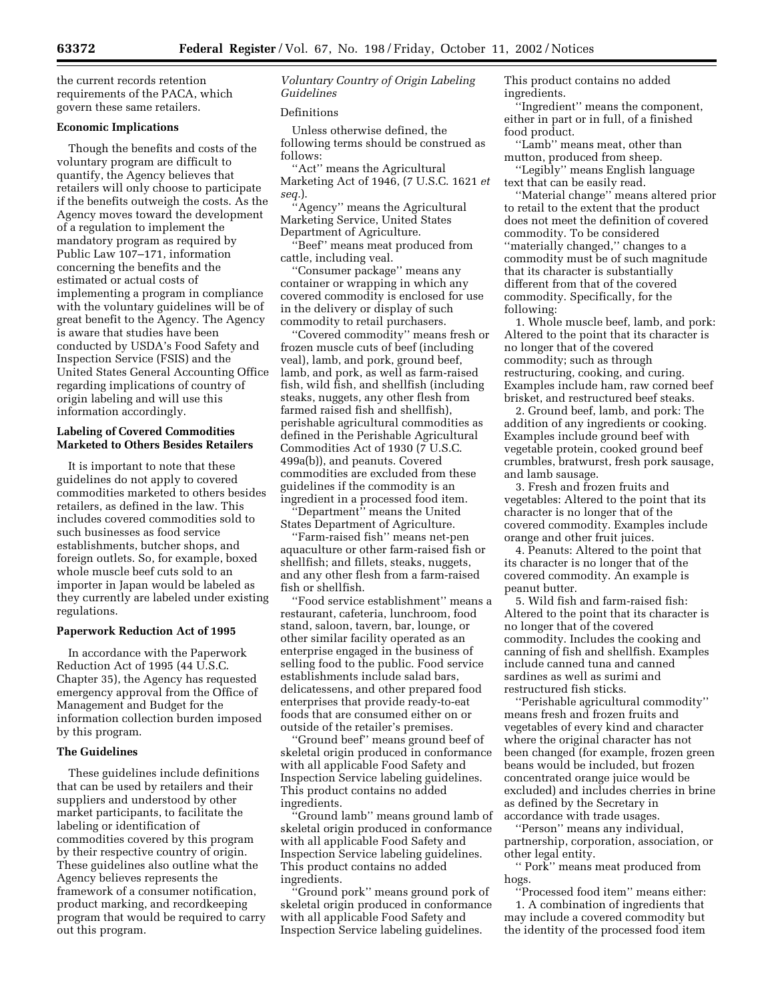the current records retention requirements of the PACA, which govern these same retailers.

## **Economic Implications**

Though the benefits and costs of the voluntary program are difficult to quantify, the Agency believes that retailers will only choose to participate if the benefits outweigh the costs. As the Agency moves toward the development of a regulation to implement the mandatory program as required by Public Law 107–171, information concerning the benefits and the estimated or actual costs of implementing a program in compliance with the voluntary guidelines will be of great benefit to the Agency. The Agency is aware that studies have been conducted by USDA's Food Safety and Inspection Service (FSIS) and the United States General Accounting Office regarding implications of country of origin labeling and will use this information accordingly.

# **Labeling of Covered Commodities Marketed to Others Besides Retailers**

It is important to note that these guidelines do not apply to covered commodities marketed to others besides retailers, as defined in the law. This includes covered commodities sold to such businesses as food service establishments, butcher shops, and foreign outlets. So, for example, boxed whole muscle beef cuts sold to an importer in Japan would be labeled as they currently are labeled under existing regulations.

# **Paperwork Reduction Act of 1995**

In accordance with the Paperwork Reduction Act of 1995 (44 U.S.C. Chapter 35), the Agency has requested emergency approval from the Office of Management and Budget for the information collection burden imposed by this program.

# **The Guidelines**

These guidelines include definitions that can be used by retailers and their suppliers and understood by other market participants, to facilitate the labeling or identification of commodities covered by this program by their respective country of origin. These guidelines also outline what the Agency believes represents the framework of a consumer notification, product marking, and recordkeeping program that would be required to carry out this program.

# *Voluntary Country of Origin Labeling Guidelines*

## Definitions

Unless otherwise defined, the following terms should be construed as follows:

''Act'' means the Agricultural Marketing Act of 1946, (7 U.S.C. 1621 *et seq.*).

'Agency'' means the Agricultural Marketing Service, United States Department of Agriculture.

'Beef'' means meat produced from cattle, including veal.

''Consumer package'' means any container or wrapping in which any covered commodity is enclosed for use in the delivery or display of such commodity to retail purchasers.

''Covered commodity'' means fresh or frozen muscle cuts of beef (including veal), lamb, and pork, ground beef, lamb, and pork, as well as farm-raised fish, wild fish, and shellfish (including steaks, nuggets, any other flesh from farmed raised fish and shellfish), perishable agricultural commodities as defined in the Perishable Agricultural Commodities Act of 1930 (7 U.S.C. 499a(b)), and peanuts. Covered commodities are excluded from these guidelines if the commodity is an ingredient in a processed food item.

''Department'' means the United States Department of Agriculture.

''Farm-raised fish'' means net-pen aquaculture or other farm-raised fish or shellfish; and fillets, steaks, nuggets, and any other flesh from a farm-raised fish or shellfish.

''Food service establishment'' means a restaurant, cafeteria, lunchroom, food stand, saloon, tavern, bar, lounge, or other similar facility operated as an enterprise engaged in the business of selling food to the public. Food service establishments include salad bars, delicatessens, and other prepared food enterprises that provide ready-to-eat foods that are consumed either on or outside of the retailer's premises.

''Ground beef'' means ground beef of skeletal origin produced in conformance with all applicable Food Safety and Inspection Service labeling guidelines. This product contains no added ingredients.

''Ground lamb'' means ground lamb of skeletal origin produced in conformance with all applicable Food Safety and Inspection Service labeling guidelines. This product contains no added ingredients.

''Ground pork'' means ground pork of skeletal origin produced in conformance with all applicable Food Safety and Inspection Service labeling guidelines.

This product contains no added ingredients.

''Ingredient'' means the component, either in part or in full, of a finished food product.

''Lamb'' means meat, other than mutton, produced from sheep.

''Legibly'' means English language text that can be easily read.

''Material change'' means altered prior to retail to the extent that the product does not meet the definition of covered commodity. To be considered ''materially changed,'' changes to a commodity must be of such magnitude that its character is substantially different from that of the covered commodity. Specifically, for the following:

1. Whole muscle beef, lamb, and pork: Altered to the point that its character is no longer that of the covered commodity; such as through restructuring, cooking, and curing. Examples include ham, raw corned beef brisket, and restructured beef steaks.

2. Ground beef, lamb, and pork: The addition of any ingredients or cooking. Examples include ground beef with vegetable protein, cooked ground beef crumbles, bratwurst, fresh pork sausage, and lamb sausage.

3. Fresh and frozen fruits and vegetables: Altered to the point that its character is no longer that of the covered commodity. Examples include orange and other fruit juices.

4. Peanuts: Altered to the point that its character is no longer that of the covered commodity. An example is peanut butter.

5. Wild fish and farm-raised fish: Altered to the point that its character is no longer that of the covered commodity. Includes the cooking and canning of fish and shellfish. Examples include canned tuna and canned sardines as well as surimi and restructured fish sticks.

''Perishable agricultural commodity'' means fresh and frozen fruits and vegetables of every kind and character where the original character has not been changed (for example, frozen green beans would be included, but frozen concentrated orange juice would be excluded) and includes cherries in brine as defined by the Secretary in accordance with trade usages.

''Person'' means any individual, partnership, corporation, association, or other legal entity.

'' Pork'' means meat produced from hogs.

''Processed food item'' means either: 1. A combination of ingredients that may include a covered commodity but the identity of the processed food item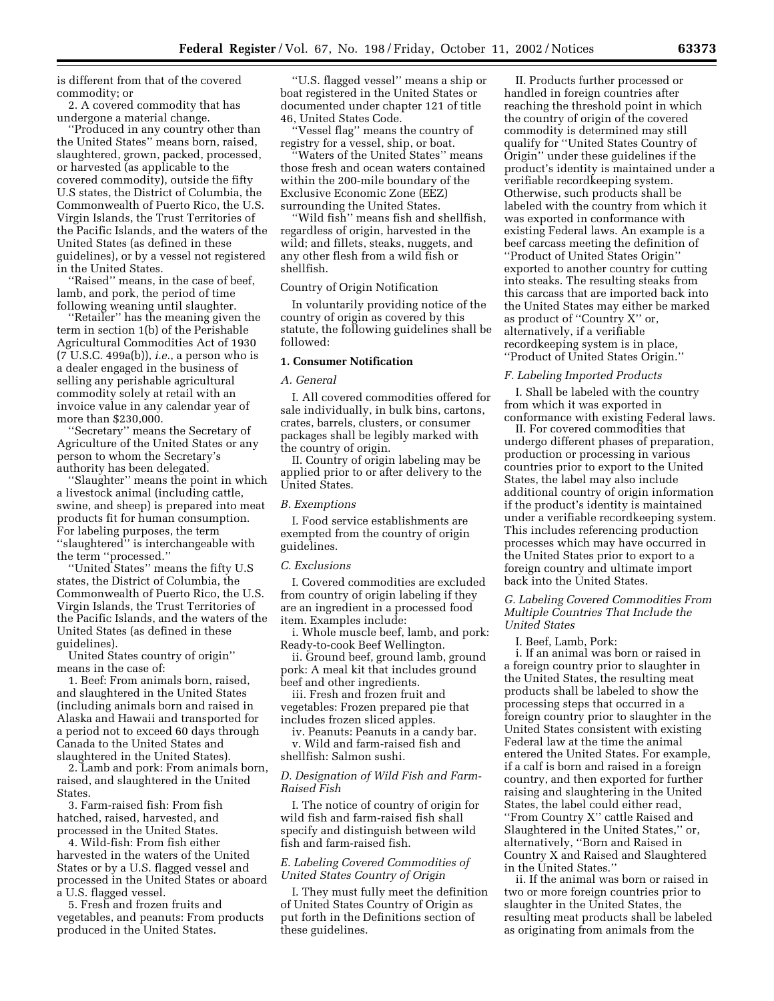is different from that of the covered commodity; or

2. A covered commodity that has undergone a material change.

''Produced in any country other than the United States'' means born, raised, slaughtered, grown, packed, processed, or harvested (as applicable to the covered commodity), outside the fifty U.S states, the District of Columbia, the Commonwealth of Puerto Rico, the U.S. Virgin Islands, the Trust Territories of the Pacific Islands, and the waters of the United States (as defined in these guidelines), or by a vessel not registered in the United States.

''Raised'' means, in the case of beef, lamb, and pork, the period of time following weaning until slaughter.

''Retailer'' has the meaning given the term in section 1(b) of the Perishable Agricultural Commodities Act of 1930 (7 U.S.C. 499a(b)), *i.e.*, a person who is a dealer engaged in the business of selling any perishable agricultural commodity solely at retail with an invoice value in any calendar year of more than \$230,000.

''Secretary'' means the Secretary of Agriculture of the United States or any person to whom the Secretary's authority has been delegated.

''Slaughter'' means the point in which a livestock animal (including cattle, swine, and sheep) is prepared into meat products fit for human consumption. For labeling purposes, the term ''slaughtered'' is interchangeable with the term ''processed.''

'United States'' means the fifty U.S states, the District of Columbia, the Commonwealth of Puerto Rico, the U.S. Virgin Islands, the Trust Territories of the Pacific Islands, and the waters of the United States (as defined in these guidelines).

United States country of origin'' means in the case of:

1. Beef: From animals born, raised, and slaughtered in the United States (including animals born and raised in Alaska and Hawaii and transported for a period not to exceed 60 days through Canada to the United States and slaughtered in the United States).

2. Lamb and pork: From animals born, raised, and slaughtered in the United States.

3. Farm-raised fish: From fish hatched, raised, harvested, and processed in the United States.

4. Wild-fish: From fish either harvested in the waters of the United States or by a U.S. flagged vessel and processed in the United States or aboard a U.S. flagged vessel.

5. Fresh and frozen fruits and vegetables, and peanuts: From products produced in the United States.

''U.S. flagged vessel'' means a ship or boat registered in the United States or documented under chapter 121 of title 46, United States Code.

''Vessel flag'' means the country of registry for a vessel, ship, or boat.

'Waters of the United States'' means those fresh and ocean waters contained within the 200-mile boundary of the Exclusive Economic Zone (EEZ) surrounding the United States.

''Wild fish'' means fish and shellfish, regardless of origin, harvested in the wild; and fillets, steaks, nuggets, and any other flesh from a wild fish or shellfish.

# Country of Origin Notification

In voluntarily providing notice of the country of origin as covered by this statute, the following guidelines shall be followed:

# **1. Consumer Notification**

# *A. General*

I. All covered commodities offered for sale individually, in bulk bins, cartons, crates, barrels, clusters, or consumer packages shall be legibly marked with the country of origin.

II. Country of origin labeling may be applied prior to or after delivery to the United States.

#### *B. Exemptions*

I. Food service establishments are exempted from the country of origin guidelines.

#### *C. Exclusions*

I. Covered commodities are excluded from country of origin labeling if they are an ingredient in a processed food item. Examples include:

i. Whole muscle beef, lamb, and pork: Ready-to-cook Beef Wellington.

ii. Ground beef, ground lamb, ground pork: A meal kit that includes ground beef and other ingredients.

iii. Fresh and frozen fruit and vegetables: Frozen prepared pie that includes frozen sliced apples.

iv. Peanuts: Peanuts in a candy bar. v. Wild and farm-raised fish and shellfish: Salmon sushi.

# *D. Designation of Wild Fish and Farm-Raised Fish*

I. The notice of country of origin for wild fish and farm-raised fish shall specify and distinguish between wild fish and farm-raised fish.

# *E. Labeling Covered Commodities of United States Country of Origin*

I. They must fully meet the definition of United States Country of Origin as put forth in the Definitions section of these guidelines.

II. Products further processed or handled in foreign countries after reaching the threshold point in which the country of origin of the covered commodity is determined may still qualify for ''United States Country of Origin'' under these guidelines if the product's identity is maintained under a verifiable recordkeeping system. Otherwise, such products shall be labeled with the country from which it was exported in conformance with existing Federal laws. An example is a beef carcass meeting the definition of ''Product of United States Origin'' exported to another country for cutting into steaks. The resulting steaks from this carcass that are imported back into the United States may either be marked as product of ''Country X'' or, alternatively, if a verifiable recordkeeping system is in place, ''Product of United States Origin.''

#### *F. Labeling Imported Products*

I. Shall be labeled with the country from which it was exported in conformance with existing Federal laws.

II. For covered commodities that undergo different phases of preparation, production or processing in various countries prior to export to the United States, the label may also include additional country of origin information if the product's identity is maintained under a verifiable recordkeeping system. This includes referencing production processes which may have occurred in the United States prior to export to a foreign country and ultimate import back into the United States.

*G. Labeling Covered Commodities From Multiple Countries That Include the United States* 

I. Beef, Lamb, Pork:

i. If an animal was born or raised in a foreign country prior to slaughter in the United States, the resulting meat products shall be labeled to show the processing steps that occurred in a foreign country prior to slaughter in the United States consistent with existing Federal law at the time the animal entered the United States. For example, if a calf is born and raised in a foreign country, and then exported for further raising and slaughtering in the United States, the label could either read, ''From Country X'' cattle Raised and Slaughtered in the United States,'' or, alternatively, ''Born and Raised in Country X and Raised and Slaughtered in the United States.''

ii. If the animal was born or raised in two or more foreign countries prior to slaughter in the United States, the resulting meat products shall be labeled as originating from animals from the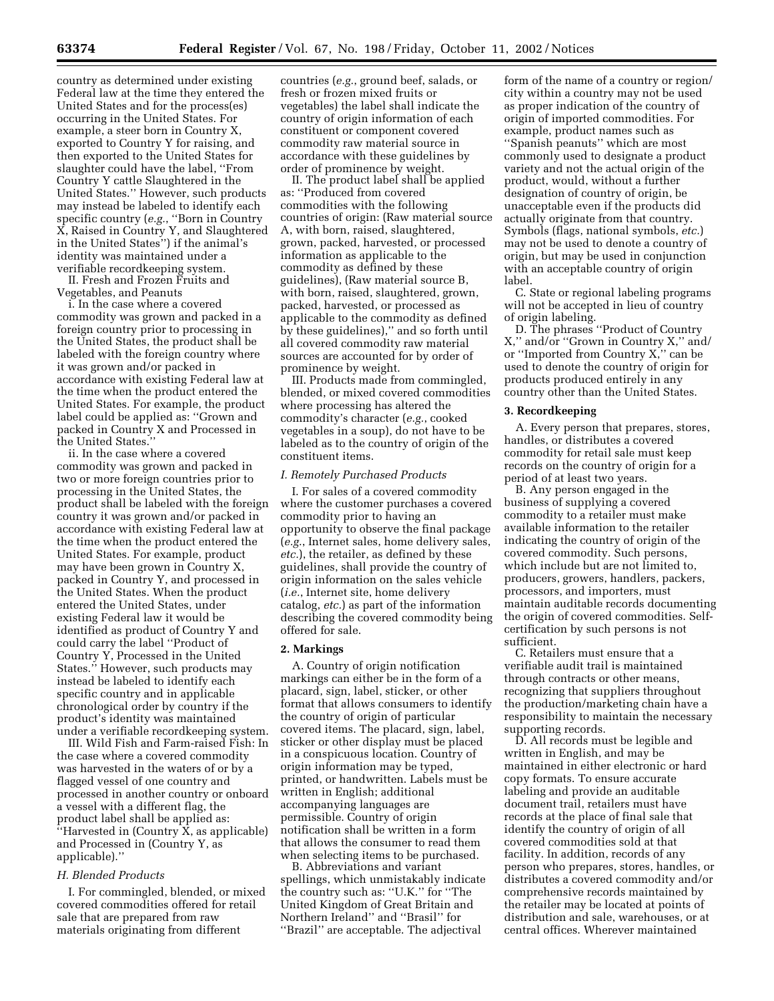country as determined under existing Federal law at the time they entered the United States and for the process(es) occurring in the United States. For example, a steer born in Country X, exported to Country Y for raising, and then exported to the United States for slaughter could have the label, ''From Country Y cattle Slaughtered in the United States.'' However, such products may instead be labeled to identify each specific country (*e.g.*, ''Born in Country X, Raised in Country Y, and Slaughtered in the United States'') if the animal's identity was maintained under a verifiable recordkeeping system.

II. Fresh and Frozen Fruits and Vegetables, and Peanuts

i. In the case where a covered commodity was grown and packed in a foreign country prior to processing in the United States, the product shall be labeled with the foreign country where it was grown and/or packed in accordance with existing Federal law at the time when the product entered the United States. For example, the product label could be applied as: ''Grown and packed in Country X and Processed in the United States.''

ii. In the case where a covered commodity was grown and packed in two or more foreign countries prior to processing in the United States, the product shall be labeled with the foreign country it was grown and/or packed in accordance with existing Federal law at the time when the product entered the United States. For example, product may have been grown in Country X, packed in Country Y, and processed in the United States. When the product entered the United States, under existing Federal law it would be identified as product of Country Y and could carry the label ''Product of Country Y, Processed in the United States.'' However, such products may instead be labeled to identify each specific country and in applicable chronological order by country if the product's identity was maintained under a verifiable recordkeeping system.

III. Wild Fish and Farm-raised Fish: In the case where a covered commodity was harvested in the waters of or by a flagged vessel of one country and processed in another country or onboard a vessel with a different flag, the product label shall be applied as: "Harvested in  $(Country\bar{X}, as\ applicable)$ and Processed in (Country Y, as applicable).''

# *H. Blended Products*

I. For commingled, blended, or mixed covered commodities offered for retail sale that are prepared from raw materials originating from different

countries (*e.g.*, ground beef, salads, or fresh or frozen mixed fruits or vegetables) the label shall indicate the country of origin information of each constituent or component covered commodity raw material source in accordance with these guidelines by order of prominence by weight.

II. The product label shall be applied as: ''Produced from covered commodities with the following countries of origin: (Raw material source A, with born, raised, slaughtered, grown, packed, harvested, or processed information as applicable to the commodity as defined by these guidelines), (Raw material source B, with born, raised, slaughtered, grown, packed, harvested, or processed as applicable to the commodity as defined by these guidelines),'' and so forth until all covered commodity raw material sources are accounted for by order of prominence by weight.

III. Products made from commingled, blended, or mixed covered commodities where processing has altered the commodity's character (*e.g.*, cooked vegetables in a soup), do not have to be labeled as to the country of origin of the constituent items.

#### *I. Remotely Purchased Products*

I. For sales of a covered commodity where the customer purchases a covered commodity prior to having an opportunity to observe the final package (*e.g.*, Internet sales, home delivery sales, *etc.*), the retailer, as defined by these guidelines, shall provide the country of origin information on the sales vehicle (*i.e.*, Internet site, home delivery catalog, *etc.*) as part of the information describing the covered commodity being offered for sale.

#### **2. Markings**

A. Country of origin notification markings can either be in the form of a placard, sign, label, sticker, or other format that allows consumers to identify the country of origin of particular covered items. The placard, sign, label, sticker or other display must be placed in a conspicuous location. Country of origin information may be typed, printed, or handwritten. Labels must be written in English; additional accompanying languages are permissible. Country of origin notification shall be written in a form that allows the consumer to read them when selecting items to be purchased.

B. Abbreviations and variant spellings, which unmistakably indicate the country such as: ''U.K.'' for ''The United Kingdom of Great Britain and Northern Ireland'' and ''Brasil'' for ''Brazil'' are acceptable. The adjectival

form of the name of a country or region/ city within a country may not be used as proper indication of the country of origin of imported commodities. For example, product names such as ''Spanish peanuts'' which are most commonly used to designate a product variety and not the actual origin of the product, would, without a further designation of country of origin, be unacceptable even if the products did actually originate from that country. Symbols (flags, national symbols, *etc.*) may not be used to denote a country of origin, but may be used in conjunction with an acceptable country of origin label.

C. State or regional labeling programs will not be accepted in lieu of country of origin labeling.

D. The phrases ''Product of Country X,'' and/or ''Grown in Country X,'' and/ or ''Imported from Country X,'' can be used to denote the country of origin for products produced entirely in any country other than the United States.

#### **3. Recordkeeping**

A. Every person that prepares, stores, handles, or distributes a covered commodity for retail sale must keep records on the country of origin for a period of at least two years.

B. Any person engaged in the business of supplying a covered commodity to a retailer must make available information to the retailer indicating the country of origin of the covered commodity. Such persons, which include but are not limited to, producers, growers, handlers, packers, processors, and importers, must maintain auditable records documenting the origin of covered commodities. Selfcertification by such persons is not sufficient.

C. Retailers must ensure that a verifiable audit trail is maintained through contracts or other means, recognizing that suppliers throughout the production/marketing chain have a responsibility to maintain the necessary supporting records.

D. All records must be legible and written in English, and may be maintained in either electronic or hard copy formats. To ensure accurate labeling and provide an auditable document trail, retailers must have records at the place of final sale that identify the country of origin of all covered commodities sold at that facility. In addition, records of any person who prepares, stores, handles, or distributes a covered commodity and/or comprehensive records maintained by the retailer may be located at points of distribution and sale, warehouses, or at central offices. Wherever maintained